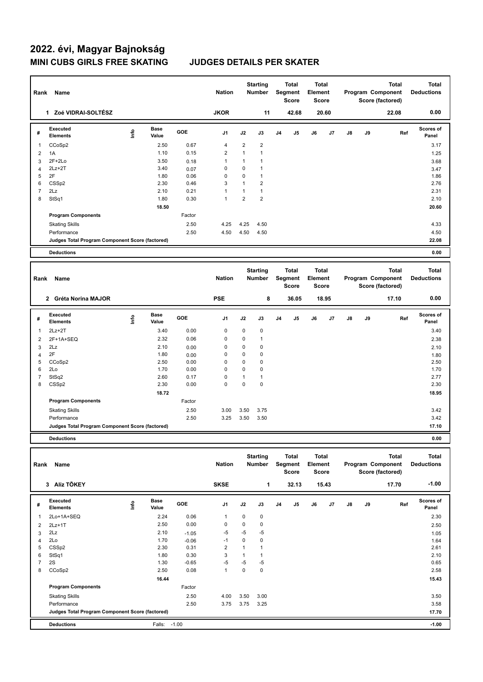**Program Components** 

| Rank                     | Name                                            |                          |                      |                 | <b>Nation</b>           |                      | <b>Starting</b><br>Number        |                | <b>Total</b><br>Segment<br>Score        | <b>Total</b><br>Element<br>Score        |       |               |    | <b>Total</b><br>Program Component<br>Score (factored) | <b>Total</b><br><b>Deductions</b> |
|--------------------------|-------------------------------------------------|--------------------------|----------------------|-----------------|-------------------------|----------------------|----------------------------------|----------------|-----------------------------------------|-----------------------------------------|-------|---------------|----|-------------------------------------------------------|-----------------------------------|
|                          | 1 Zoé VIDRAI-SOLTÉSZ                            |                          |                      |                 | <b>JKOR</b>             |                      | 11                               |                | 42.68                                   |                                         | 20.60 |               |    | 22.08                                                 | 0.00                              |
| #                        | Executed<br><b>Elements</b>                     | lnfo                     | <b>Base</b><br>Value | GOE             | J <sub>1</sub>          | J2                   | J3                               | J4             | J5                                      | J6                                      | J7    | J8            | J9 | Ref                                                   | <b>Scores of</b><br>Panel         |
| 1                        | CCoSp2                                          |                          | 2.50                 | 0.67            | 4                       | 2                    | $\overline{2}$                   |                |                                         |                                         |       |               |    |                                                       | 3.17                              |
| $\overline{2}$           | 1A                                              |                          | 1.10                 | 0.15            | $\overline{2}$          | $\mathbf{1}$         | $\mathbf{1}$                     |                |                                         |                                         |       |               |    |                                                       | 1.25                              |
| 3                        | $2F+2Lo$                                        |                          | 3.50                 | 0.18            | 1                       | $\mathbf{1}$         | $\mathbf{1}$                     |                |                                         |                                         |       |               |    |                                                       | 3.68                              |
| 4                        | $2Lz+2T$                                        |                          | 3.40                 | 0.07            | 0                       | 0                    | $\mathbf{1}$                     |                |                                         |                                         |       |               |    |                                                       | 3.47                              |
| 5                        | 2F                                              |                          | 1.80                 | 0.06            | $\mathbf 0$             | 0                    | $\mathbf{1}$                     |                |                                         |                                         |       |               |    |                                                       | 1.86                              |
| 6                        | CSS <sub>p2</sub>                               |                          | 2.30                 | 0.46            | 3                       | $\mathbf{1}$         | $\overline{2}$                   |                |                                         |                                         |       |               |    |                                                       | 2.76                              |
| $\overline{\mathcal{I}}$ | 2Lz                                             |                          | 2.10                 | 0.21            | $\mathbf{1}$            | $\mathbf{1}$         | $\mathbf{1}$                     |                |                                         |                                         |       |               |    |                                                       | 2.31                              |
| 8                        | StSq1                                           |                          | 1.80                 | 0.30            | $\mathbf{1}$            | $\overline{2}$       | $\overline{2}$                   |                |                                         |                                         |       |               |    |                                                       | 2.10                              |
|                          |                                                 |                          | 18.50                |                 |                         |                      |                                  |                |                                         |                                         |       |               |    |                                                       | 20.60                             |
|                          | <b>Program Components</b>                       |                          |                      | Factor          |                         |                      |                                  |                |                                         |                                         |       |               |    |                                                       |                                   |
|                          | <b>Skating Skills</b>                           |                          |                      | 2.50            | 4.25                    | 4.25                 | 4.50                             |                |                                         |                                         |       |               |    |                                                       | 4.33                              |
|                          | Performance                                     |                          |                      | 2.50            | 4.50                    | 4.50                 | 4.50                             |                |                                         |                                         |       |               |    |                                                       | 4.50                              |
|                          | Judges Total Program Component Score (factored) |                          |                      |                 |                         |                      |                                  |                |                                         |                                         |       |               |    |                                                       | 22.08                             |
|                          |                                                 |                          |                      |                 |                         |                      |                                  |                |                                         |                                         |       |               |    |                                                       |                                   |
|                          | <b>Deductions</b>                               |                          |                      |                 |                         |                      |                                  |                |                                         |                                         |       |               |    |                                                       | 0.00                              |
| Rank                     | Name                                            |                          |                      |                 | <b>Nation</b>           |                      | <b>Starting</b><br><b>Number</b> |                | <b>Total</b><br>Segment<br><b>Score</b> | <b>Total</b><br>Element<br><b>Score</b> |       |               |    | <b>Total</b><br>Program Component<br>Score (factored) | <b>Total</b><br><b>Deductions</b> |
|                          | 2 Gréta Norina MAJOR                            |                          |                      |                 | <b>PSE</b>              |                      | 8                                |                | 36.05                                   |                                         | 18.95 |               |    | 17.10                                                 | 0.00                              |
|                          | <b>Executed</b>                                 |                          | Base                 |                 |                         |                      |                                  |                |                                         |                                         |       |               |    |                                                       | <b>Scores of</b>                  |
| #                        | <b>Elements</b>                                 | lnfo                     | Value                | GOE             | J1                      | J2                   | J3                               | J <sub>4</sub> | J5                                      | J6                                      | J7    | J8            | J9 | Ref                                                   | Panel                             |
| 1                        | $2Lz + 2T$                                      |                          | 3.40                 | 0.00            | 0                       | 0                    | 0                                |                |                                         |                                         |       |               |    |                                                       | 3.40                              |
| 2                        | 2F+1A+SEQ                                       |                          | 2.32                 | 0.06            | 0                       | 0                    | $\mathbf{1}$                     |                |                                         |                                         |       |               |    |                                                       | 2.38                              |
|                          |                                                 |                          |                      |                 |                         |                      |                                  |                |                                         |                                         |       |               |    |                                                       |                                   |
| 3                        | 2Lz                                             |                          | 2.10                 | 0.00            | 0                       | 0                    | $\mathbf 0$                      |                |                                         |                                         |       |               |    |                                                       | 2.10                              |
| 4                        | 2F                                              |                          | 1.80                 | 0.00            | 0                       | 0                    | $\pmb{0}$                        |                |                                         |                                         |       |               |    |                                                       | 1.80                              |
| 5                        | CCoSp2                                          |                          | 2.50                 | 0.00            | 0                       | 0                    | $\pmb{0}$                        |                |                                         |                                         |       |               |    |                                                       | 2.50                              |
| 6                        | 2Lo                                             |                          | 1.70                 | 0.00            | $\mathbf 0$             | 0                    | $\mathbf 0$                      |                |                                         |                                         |       |               |    |                                                       | 1.70                              |
| $\overline{7}$           | StSq2                                           |                          | 2.60                 | 0.17            | 0                       | $\mathbf{1}$         | $\mathbf{1}$                     |                |                                         |                                         |       |               |    |                                                       | 2.77                              |
| 8                        | CSSp2                                           |                          | 2.30                 | 0.00            | $\mathbf 0$             | 0                    | $\pmb{0}$                        |                |                                         |                                         |       |               |    |                                                       | 2.30                              |
|                          |                                                 |                          | 18.72                |                 |                         |                      |                                  |                |                                         |                                         |       |               |    |                                                       | 18.95                             |
|                          | <b>Program Components</b>                       |                          |                      | Factor          |                         |                      |                                  |                |                                         |                                         |       |               |    |                                                       |                                   |
|                          | <b>Skating Skills</b>                           |                          |                      | 2.50            | 3.00                    | 3.50                 | 3.75                             |                |                                         |                                         |       |               |    |                                                       | 3.42                              |
|                          | Performance                                     |                          |                      | 2.50            | 3.25                    | 3.50                 | 3.50                             |                |                                         |                                         |       |               |    |                                                       | 3.42                              |
|                          | Judges Total Program Component Score (factored) |                          |                      |                 |                         |                      |                                  |                |                                         |                                         |       |               |    |                                                       | 17.10                             |
|                          | <b>Deductions</b>                               |                          |                      |                 |                         |                      |                                  |                |                                         |                                         |       |               |    |                                                       | 0.00                              |
|                          |                                                 |                          |                      |                 |                         |                      |                                  |                |                                         |                                         |       |               |    |                                                       |                                   |
|                          | Rank Name                                       |                          |                      |                 | <b>Nation</b>           |                      | <b>Starting</b><br>Number        |                | <b>Total</b><br>Segment<br>Score        | Total<br>Element<br>Score               |       |               |    | <b>Total</b><br>Program Component<br>Score (factored) | <b>Total</b><br><b>Deductions</b> |
|                          | 3 Alíz TŐKEY                                    |                          |                      |                 | <b>SKSE</b>             |                      | 1                                |                | 32.13                                   |                                         | 15.43 |               |    | 17.70                                                 | $-1.00$                           |
| #                        | Executed<br><b>Elements</b>                     | $\mathop{\mathsf{Info}}$ | <b>Base</b><br>Value | GOE             | J1                      | J2                   | J3                               | J <sub>4</sub> | J5                                      | J6                                      | J7    | $\mathsf{J}8$ | J9 | Ref                                                   | Scores of<br>Panel                |
|                          |                                                 |                          |                      |                 |                         |                      |                                  |                |                                         |                                         |       |               |    |                                                       |                                   |
| 1                        | 2Lo+1A+SEQ                                      |                          | 2.24                 | 0.06            | 1                       | 0                    | $\pmb{0}$                        |                |                                         |                                         |       |               |    |                                                       | 2.30                              |
| 2                        | $2Lz+1T$                                        |                          | 2.50                 | 0.00            | 0                       | 0                    | $\pmb{0}$                        |                |                                         |                                         |       |               |    |                                                       | 2.50                              |
| 3                        | 2Lz                                             |                          | 2.10                 | $-1.05$         | $-5$                    | $-5$                 | $-5$                             |                |                                         |                                         |       |               |    |                                                       | 1.05                              |
| 4                        | 2Lo                                             |                          | 1.70                 | $-0.06$         | $-1$                    | 0                    | $\pmb{0}$                        |                |                                         |                                         |       |               |    |                                                       | 1.64                              |
| 5                        | CSS <sub>p2</sub>                               |                          | 2.30                 | 0.31            | $\overline{\mathbf{c}}$ | $\mathbf{1}$         | $\mathbf{1}$                     |                |                                         |                                         |       |               |    |                                                       | 2.61                              |
| 6<br>$\overline{7}$      | StSq1<br>2S                                     |                          | 1.80<br>1.30         | 0.30<br>$-0.65$ | 3<br>$-5$               | $\mathbf{1}$<br>$-5$ | $\mathbf{1}$<br>$-5$             |                |                                         |                                         |       |               |    |                                                       | 2.10<br>0.65                      |

 **16.44 15.43**

Skating Skills 4.00 3.50 3.00 2.50 3.50

Performance 2.50 3.75 3.75 3.25 3.58 3.58

**Deductions** Falls: -1.00 **-1.00 Judges Total Program Component Score (factored) 17.70**

Factor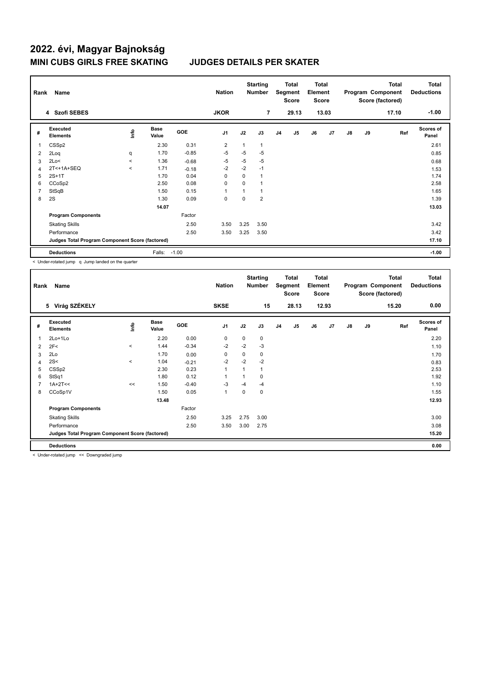| Rank           | Name                                            |         |                      |            | <b>Nation</b>  |                | <b>Starting</b><br><b>Number</b> |                | Total<br>Segment<br><b>Score</b> | <b>Total</b><br>Element<br><b>Score</b> |                |               |    | <b>Total</b><br>Program Component<br>Score (factored) | <b>Total</b><br><b>Deductions</b> |
|----------------|-------------------------------------------------|---------|----------------------|------------|----------------|----------------|----------------------------------|----------------|----------------------------------|-----------------------------------------|----------------|---------------|----|-------------------------------------------------------|-----------------------------------|
|                | 4 Szofi SEBES                                   |         |                      |            | <b>JKOR</b>    |                | 7                                |                | 29.13                            |                                         | 13.03          |               |    | 17.10                                                 | $-1.00$                           |
| #              | Executed<br><b>Elements</b>                     | ١nto    | <b>Base</b><br>Value | <b>GOE</b> | J <sub>1</sub> | J2             | J3                               | J <sub>4</sub> | J <sub>5</sub>                   | J6                                      | J <sub>7</sub> | $\mathsf{J}8$ | J9 | Ref                                                   | Scores of<br>Panel                |
| $\mathbf 1$    | CSS <sub>p2</sub>                               |         | 2.30                 | 0.31       | 2              | 1              | 1                                |                |                                  |                                         |                |               |    |                                                       | 2.61                              |
| 2              | 2Loq                                            | q       | 1.70                 | $-0.85$    | $-5$           | $-5$           | $-5$                             |                |                                  |                                         |                |               |    |                                                       | 0.85                              |
| 3              | 2Lo<                                            | $\prec$ | 1.36                 | $-0.68$    | $-5$           | -5             | $-5$                             |                |                                  |                                         |                |               |    |                                                       | 0.68                              |
| 4              | 2T<+1A+SEQ                                      | $\prec$ | 1.71                 | $-0.18$    | $-2$           | $-2$           | $-1$                             |                |                                  |                                         |                |               |    |                                                       | 1.53                              |
| 5              | $2S+1T$                                         |         | 1.70                 | 0.04       | 0              | 0              | 1                                |                |                                  |                                         |                |               |    |                                                       | 1.74                              |
| 6              | CCoSp2                                          |         | 2.50                 | 0.08       | 0              | $\Omega$       | 1                                |                |                                  |                                         |                |               |    |                                                       | 2.58                              |
| $\overline{7}$ | StSqB                                           |         | 1.50                 | 0.15       | 1              | $\overline{ }$ | 1                                |                |                                  |                                         |                |               |    |                                                       | 1.65                              |
| 8              | 2S                                              |         | 1.30                 | 0.09       | 0              | $\Omega$       | $\overline{2}$                   |                |                                  |                                         |                |               |    |                                                       | 1.39                              |
|                |                                                 |         | 14.07                |            |                |                |                                  |                |                                  |                                         |                |               |    |                                                       | 13.03                             |
|                | <b>Program Components</b>                       |         |                      | Factor     |                |                |                                  |                |                                  |                                         |                |               |    |                                                       |                                   |
|                | <b>Skating Skills</b>                           |         |                      | 2.50       | 3.50           | 3.25           | 3.50                             |                |                                  |                                         |                |               |    |                                                       | 3.42                              |
|                | Performance                                     |         |                      | 2.50       | 3.50           | 3.25           | 3.50                             |                |                                  |                                         |                |               |    |                                                       | 3.42                              |
|                | Judges Total Program Component Score (factored) |         |                      |            |                |                |                                  |                |                                  |                                         |                |               |    |                                                       | 17.10                             |
|                | <b>Deductions</b>                               |         | Falls:               | $-1.00$    |                |                |                                  |                |                                  |                                         |                |               |    |                                                       | $-1.00$                           |

< Under-rotated jump q Jump landed on the quarter

| Rank           | Name                                            |         |                      |            | <b>Nation</b>  |             | <b>Starting</b><br><b>Number</b> |                | <b>Total</b><br>Segment<br><b>Score</b> | <b>Total</b><br>Element<br><b>Score</b> |       |    |    | <b>Total</b><br>Program Component<br>Score (factored) | <b>Total</b><br><b>Deductions</b> |
|----------------|-------------------------------------------------|---------|----------------------|------------|----------------|-------------|----------------------------------|----------------|-----------------------------------------|-----------------------------------------|-------|----|----|-------------------------------------------------------|-----------------------------------|
|                | 5 Virág SZÉKELY                                 |         |                      |            | <b>SKSE</b>    |             | 15                               |                | 28.13                                   |                                         | 12.93 |    |    | 15.20                                                 | 0.00                              |
| #              | Executed<br><b>Elements</b>                     | lnfo    | <b>Base</b><br>Value | <b>GOE</b> | J1             | J2          | J3                               | J <sub>4</sub> | J <sub>5</sub>                          | J6                                      | J7    | J8 | J9 | Ref                                                   | Scores of<br>Panel                |
| 1              | 2Lo+1Lo                                         |         | 2.20                 | 0.00       | 0              | $\mathbf 0$ | 0                                |                |                                         |                                         |       |    |    |                                                       | 2.20                              |
| 2              | 2F<                                             | $\,<\,$ | 1.44                 | $-0.34$    | $-2$           | $-2$        | $-3$                             |                |                                         |                                         |       |    |    |                                                       | 1.10                              |
| 3              | 2Lo                                             |         | 1.70                 | 0.00       | 0              | 0           | 0                                |                |                                         |                                         |       |    |    |                                                       | 1.70                              |
| $\overline{4}$ | 2S<                                             | $\prec$ | 1.04                 | $-0.21$    | $-2$           | $-2$        | $-2$                             |                |                                         |                                         |       |    |    |                                                       | 0.83                              |
| 5              | CSS <sub>p2</sub>                               |         | 2.30                 | 0.23       | $\overline{1}$ |             | $\mathbf{1}$                     |                |                                         |                                         |       |    |    |                                                       | 2.53                              |
| 6              | StSq1                                           |         | 1.80                 | 0.12       | 1              |             | 0                                |                |                                         |                                         |       |    |    |                                                       | 1.92                              |
| $\overline{7}$ | $1A+2T<<$                                       | <<      | 1.50                 | $-0.40$    | $-3$           | $-4$        | $-4$                             |                |                                         |                                         |       |    |    |                                                       | 1.10                              |
| 8              | CCoSp1V                                         |         | 1.50                 | 0.05       | 1              | 0           | 0                                |                |                                         |                                         |       |    |    |                                                       | 1.55                              |
|                |                                                 |         | 13.48                |            |                |             |                                  |                |                                         |                                         |       |    |    |                                                       | 12.93                             |
|                | <b>Program Components</b>                       |         |                      | Factor     |                |             |                                  |                |                                         |                                         |       |    |    |                                                       |                                   |
|                | <b>Skating Skills</b>                           |         |                      | 2.50       | 3.25           | 2.75        | 3.00                             |                |                                         |                                         |       |    |    |                                                       | 3.00                              |
|                | Performance                                     |         |                      | 2.50       | 3.50           | 3.00        | 2.75                             |                |                                         |                                         |       |    |    |                                                       | 3.08                              |
|                | Judges Total Program Component Score (factored) |         |                      |            |                |             |                                  |                |                                         |                                         |       |    |    |                                                       | 15.20                             |
|                | <b>Deductions</b>                               |         |                      |            |                |             |                                  |                |                                         |                                         |       |    |    |                                                       | 0.00                              |

< Under-rotated jump << Downgraded jump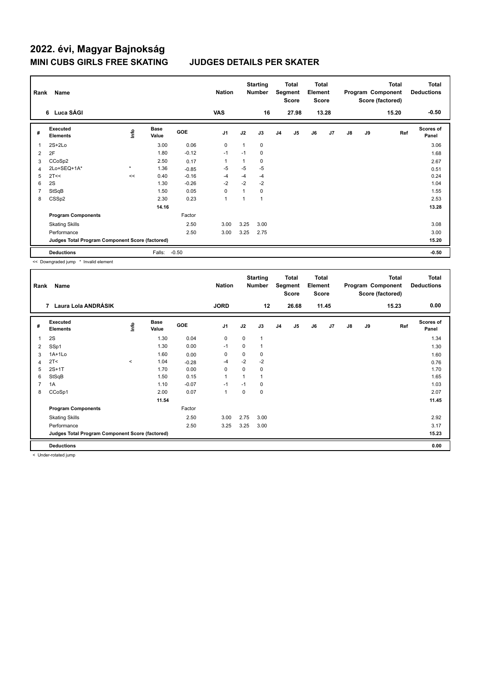| Rank | Name                                            |            |                      |            | <b>Nation</b>  |      | <b>Starting</b><br><b>Number</b> |                | Total<br>Segment<br><b>Score</b> | <b>Total</b><br>Element<br>Score |                |    |    | <b>Total</b><br>Program Component<br>Score (factored) | <b>Total</b><br><b>Deductions</b> |
|------|-------------------------------------------------|------------|----------------------|------------|----------------|------|----------------------------------|----------------|----------------------------------|----------------------------------|----------------|----|----|-------------------------------------------------------|-----------------------------------|
|      | 6 Luca SÁGI                                     |            |                      |            | <b>VAS</b>     |      | 16                               |                | 27.98                            |                                  | 13.28          |    |    | 15.20                                                 | $-0.50$                           |
| #    | Executed<br><b>Elements</b>                     | <b>Lin</b> | <b>Base</b><br>Value | <b>GOE</b> | J <sub>1</sub> | J2   | J3                               | J <sub>4</sub> | J <sub>5</sub>                   | J6                               | J <sub>7</sub> | J8 | J9 | Ref                                                   | <b>Scores of</b><br>Panel         |
| 1    | $2S+2Lo$                                        |            | 3.00                 | 0.06       | 0              |      | 0                                |                |                                  |                                  |                |    |    |                                                       | 3.06                              |
| 2    | 2F                                              |            | 1.80                 | $-0.12$    | $-1$           | $-1$ | 0                                |                |                                  |                                  |                |    |    |                                                       | 1.68                              |
| 3    | CCoSp2                                          |            | 2.50                 | 0.17       | $\overline{1}$ |      | 0                                |                |                                  |                                  |                |    |    |                                                       | 2.67                              |
| 4    | 2Lo+SEQ+1A*                                     | $\star$    | 1.36                 | $-0.85$    | -5             | $-5$ | $-5$                             |                |                                  |                                  |                |    |    |                                                       | 0.51                              |
| 5    | 2T<<                                            | <<         | 0.40                 | $-0.16$    | -4             | $-4$ | $-4$                             |                |                                  |                                  |                |    |    |                                                       | 0.24                              |
| 6    | 2S                                              |            | 1.30                 | $-0.26$    | $-2$           | $-2$ | $-2$                             |                |                                  |                                  |                |    |    |                                                       | 1.04                              |
| 7    | StSqB                                           |            | 1.50                 | 0.05       | 0              |      | 0                                |                |                                  |                                  |                |    |    |                                                       | 1.55                              |
| 8    | CSS <sub>p2</sub>                               |            | 2.30                 | 0.23       | $\overline{1}$ |      | 1                                |                |                                  |                                  |                |    |    |                                                       | 2.53                              |
|      |                                                 |            | 14.16                |            |                |      |                                  |                |                                  |                                  |                |    |    |                                                       | 13.28                             |
|      | <b>Program Components</b>                       |            |                      | Factor     |                |      |                                  |                |                                  |                                  |                |    |    |                                                       |                                   |
|      | <b>Skating Skills</b>                           |            |                      | 2.50       | 3.00           | 3.25 | 3.00                             |                |                                  |                                  |                |    |    |                                                       | 3.08                              |
|      | Performance                                     |            |                      | 2.50       | 3.00           | 3.25 | 2.75                             |                |                                  |                                  |                |    |    |                                                       | 3.00                              |
|      | Judges Total Program Component Score (factored) |            |                      |            |                |      |                                  |                |                                  |                                  |                |    |    |                                                       | 15.20                             |
|      | <b>Deductions</b>                               |            | Falls:               | $-0.50$    |                |      |                                  |                |                                  |                                  |                |    |    |                                                       | $-0.50$                           |

<< Downgraded jump \* Invalid element

| Rank           | Name                                            |         |                      |            | <b>Nation</b>  |             | <b>Starting</b><br><b>Number</b> |    | <b>Total</b><br>Segment<br><b>Score</b> | <b>Total</b><br>Element<br><b>Score</b> |       |    |    | <b>Total</b><br>Program Component<br>Score (factored) | <b>Total</b><br><b>Deductions</b> |
|----------------|-------------------------------------------------|---------|----------------------|------------|----------------|-------------|----------------------------------|----|-----------------------------------------|-----------------------------------------|-------|----|----|-------------------------------------------------------|-----------------------------------|
|                | 7 Laura Lola ANDRÁSIK                           |         |                      |            | <b>JORD</b>    |             | 12                               |    | 26.68                                   |                                         | 11.45 |    |    | 15.23                                                 | 0.00                              |
| #              | Executed<br><b>Elements</b>                     | lnfo    | <b>Base</b><br>Value | <b>GOE</b> | J <sub>1</sub> | J2          | J3                               | J4 | J <sub>5</sub>                          | J6                                      | J7    | J8 | J9 | Ref                                                   | <b>Scores of</b><br>Panel         |
| $\mathbf{1}$   | 2S                                              |         | 1.30                 | 0.04       | 0              | $\mathbf 0$ | $\mathbf{1}$                     |    |                                         |                                         |       |    |    |                                                       | 1.34                              |
| 2              | SSp1                                            |         | 1.30                 | 0.00       | $-1$           | 0           | 1                                |    |                                         |                                         |       |    |    |                                                       | 1.30                              |
| 3              | $1A+1Lo$                                        |         | 1.60                 | 0.00       | 0              | $\mathbf 0$ | 0                                |    |                                         |                                         |       |    |    |                                                       | 1.60                              |
| 4              | 2T <                                            | $\prec$ | 1.04                 | $-0.28$    | -4             | $-2$        | $-2$                             |    |                                         |                                         |       |    |    |                                                       | 0.76                              |
| 5              | $2S+1T$                                         |         | 1.70                 | 0.00       | $\mathbf 0$    | $\mathbf 0$ | 0                                |    |                                         |                                         |       |    |    |                                                       | 1.70                              |
| 6              | StSqB                                           |         | 1.50                 | 0.15       | $\overline{1}$ |             | $\mathbf{1}$                     |    |                                         |                                         |       |    |    |                                                       | 1.65                              |
| $\overline{7}$ | 1A                                              |         | 1.10                 | $-0.07$    | $-1$           | $-1$        | 0                                |    |                                         |                                         |       |    |    |                                                       | 1.03                              |
| 8              | CCoSp1                                          |         | 2.00                 | 0.07       | $\overline{1}$ | 0           | 0                                |    |                                         |                                         |       |    |    |                                                       | 2.07                              |
|                |                                                 |         | 11.54                |            |                |             |                                  |    |                                         |                                         |       |    |    |                                                       | 11.45                             |
|                | <b>Program Components</b>                       |         |                      | Factor     |                |             |                                  |    |                                         |                                         |       |    |    |                                                       |                                   |
|                | <b>Skating Skills</b>                           |         |                      | 2.50       | 3.00           | 2.75        | 3.00                             |    |                                         |                                         |       |    |    |                                                       | 2.92                              |
|                | Performance                                     |         |                      | 2.50       | 3.25           | 3.25        | 3.00                             |    |                                         |                                         |       |    |    |                                                       | 3.17                              |
|                | Judges Total Program Component Score (factored) |         |                      |            |                |             |                                  |    |                                         |                                         |       |    |    |                                                       | 15.23                             |
|                | <b>Deductions</b>                               |         |                      |            |                |             |                                  |    |                                         |                                         |       |    |    |                                                       | 0.00                              |

< Under-rotated jump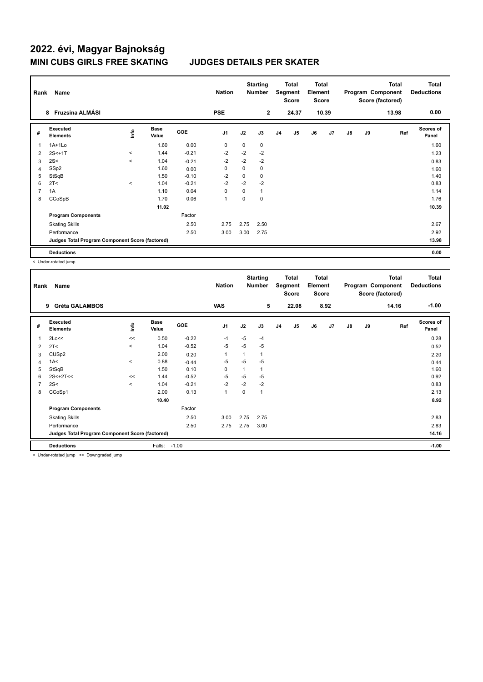| Rank | Name<br>Fruzsina ALMÁSI<br>8                    |         |                      |            | <b>Nation</b>  |             | <b>Starting</b><br><b>Number</b> |                | <b>Total</b><br>Segment<br>Score | Total<br>Element<br>Score |       |               |    | <b>Total</b><br>Program Component<br>Score (factored) | <b>Total</b><br><b>Deductions</b><br>0.00 |
|------|-------------------------------------------------|---------|----------------------|------------|----------------|-------------|----------------------------------|----------------|----------------------------------|---------------------------|-------|---------------|----|-------------------------------------------------------|-------------------------------------------|
|      |                                                 |         |                      |            | <b>PSE</b>     |             | $\mathbf{2}$                     |                | 24.37                            |                           | 10.39 |               |    | 13.98                                                 |                                           |
| #    | Executed<br><b>Elements</b>                     | lnfo    | <b>Base</b><br>Value | <b>GOE</b> | J <sub>1</sub> | J2          | J3                               | J <sub>4</sub> | J <sub>5</sub>                   | J6                        | J7    | $\mathsf{J}8$ | J9 | Ref                                                   | <b>Scores of</b><br>Panel                 |
|      | $1A+1Lo$                                        |         | 1.60                 | 0.00       | 0              | 0           | 0                                |                |                                  |                           |       |               |    |                                                       | 1.60                                      |
| 2    | $2S<+1T$                                        | $\,<\,$ | 1.44                 | $-0.21$    | -2             | $-2$        | $-2$                             |                |                                  |                           |       |               |    |                                                       | 1.23                                      |
| 3    | 2S<                                             | $\prec$ | 1.04                 | $-0.21$    | $-2$           | $-2$        | $-2$                             |                |                                  |                           |       |               |    |                                                       | 0.83                                      |
| 4    | SS <sub>p2</sub>                                |         | 1.60                 | 0.00       | 0              | 0           | 0                                |                |                                  |                           |       |               |    |                                                       | 1.60                                      |
| 5    | StSqB                                           |         | 1.50                 | $-0.10$    | $-2$           | $\mathbf 0$ | 0                                |                |                                  |                           |       |               |    |                                                       | 1.40                                      |
| 6    | 2T <                                            | $\,<$   | 1.04                 | $-0.21$    | $-2$           | $-2$        | $-2$                             |                |                                  |                           |       |               |    |                                                       | 0.83                                      |
|      | 1A                                              |         | 1.10                 | 0.04       | 0              | 0           | 1                                |                |                                  |                           |       |               |    |                                                       | 1.14                                      |
| 8    | CCoSpB                                          |         | 1.70                 | 0.06       | 1              | 0           | 0                                |                |                                  |                           |       |               |    |                                                       | 1.76                                      |
|      |                                                 |         | 11.02                |            |                |             |                                  |                |                                  |                           |       |               |    |                                                       | 10.39                                     |
|      | <b>Program Components</b>                       |         |                      | Factor     |                |             |                                  |                |                                  |                           |       |               |    |                                                       |                                           |
|      | <b>Skating Skills</b>                           |         |                      | 2.50       | 2.75           | 2.75        | 2.50                             |                |                                  |                           |       |               |    |                                                       | 2.67                                      |
|      | Performance                                     |         |                      | 2.50       | 3.00           | 3.00        | 2.75                             |                |                                  |                           |       |               |    |                                                       | 2.92                                      |
|      | Judges Total Program Component Score (factored) |         |                      |            |                |             |                                  |                |                                  |                           |       |               |    |                                                       | 13.98                                     |
|      | <b>Deductions</b>                               |         |                      |            |                |             |                                  |                |                                  |                           |       |               |    |                                                       | 0.00                                      |

< Under-rotated jump

| $-1.00$<br><b>VAS</b><br>5<br>22.08<br>8.92<br><b>Gréta GALAMBOS</b><br>14.16<br>9<br>Executed<br><b>Scores of</b><br><b>Base</b><br>١nf٥<br>GOE<br>J <sub>1</sub><br>J2<br>J3<br>J <sub>5</sub><br>J6<br>J7<br>$\mathsf{J}8$<br>J9<br>J4<br>Ref<br>#<br><b>Elements</b><br>Value<br>Panel<br>$-0.22$<br>$-5$<br>0.28<br>2Lo<<<br>0.50<br>$-4$<br>1<br>-4<br><<<br>$-5$<br>$-0.52$<br>$-5$<br>$-5$<br>1.04<br>$\prec$<br>2T <<br>0.52<br>2<br>CUS <sub>p2</sub><br>2.00<br>$\overline{1}$<br>$\mathbf{1}$<br>0.20<br>3<br>2.20<br>$-5$<br>1A<<br>$-5$<br>0.88<br>-5<br>$\,<\,$<br>$-0.44$<br>0.44<br>4<br>0.10<br>1.60<br>StSqB<br>1.50<br>0<br>5<br>$\mathbf{1}$<br>$-5$<br>$-5$<br>$2S<+2T<<$<br>$-0.52$<br>$-5$<br>0.92<br>6<br>1.44<br><<<br>$-2$<br>$-2$<br>2S<<br>$-2$<br>$-0.21$<br>0.83<br>$\overline{7}$<br>1.04<br>$\prec$<br>0.13<br>CCoSp1<br>2.00<br>$\overline{1}$<br>0<br>$\mathbf{1}$<br>2.13<br>8<br>8.92<br>10.40<br><b>Program Components</b><br>Factor<br>2.50<br>3.00<br>2.75<br>2.83<br><b>Skating Skills</b><br>2.75<br>2.50<br>2.75<br>2.83<br>Performance<br>2.75<br>3.00<br>Judges Total Program Component Score (factored)<br>14.16 | Rank | Name              |        |         | <b>Nation</b> | <b>Starting</b><br>Number | <b>Total</b><br>Segment<br><b>Score</b> | <b>Total</b><br>Element<br><b>Score</b> |  | <b>Total</b><br>Program Component<br>Score (factored) | <b>Total</b><br><b>Deductions</b> |
|----------------------------------------------------------------------------------------------------------------------------------------------------------------------------------------------------------------------------------------------------------------------------------------------------------------------------------------------------------------------------------------------------------------------------------------------------------------------------------------------------------------------------------------------------------------------------------------------------------------------------------------------------------------------------------------------------------------------------------------------------------------------------------------------------------------------------------------------------------------------------------------------------------------------------------------------------------------------------------------------------------------------------------------------------------------------------------------------------------------------------------------------------------------|------|-------------------|--------|---------|---------------|---------------------------|-----------------------------------------|-----------------------------------------|--|-------------------------------------------------------|-----------------------------------|
|                                                                                                                                                                                                                                                                                                                                                                                                                                                                                                                                                                                                                                                                                                                                                                                                                                                                                                                                                                                                                                                                                                                                                                |      |                   |        |         |               |                           |                                         |                                         |  |                                                       |                                   |
|                                                                                                                                                                                                                                                                                                                                                                                                                                                                                                                                                                                                                                                                                                                                                                                                                                                                                                                                                                                                                                                                                                                                                                |      |                   |        |         |               |                           |                                         |                                         |  |                                                       |                                   |
|                                                                                                                                                                                                                                                                                                                                                                                                                                                                                                                                                                                                                                                                                                                                                                                                                                                                                                                                                                                                                                                                                                                                                                |      |                   |        |         |               |                           |                                         |                                         |  |                                                       |                                   |
|                                                                                                                                                                                                                                                                                                                                                                                                                                                                                                                                                                                                                                                                                                                                                                                                                                                                                                                                                                                                                                                                                                                                                                |      |                   |        |         |               |                           |                                         |                                         |  |                                                       |                                   |
|                                                                                                                                                                                                                                                                                                                                                                                                                                                                                                                                                                                                                                                                                                                                                                                                                                                                                                                                                                                                                                                                                                                                                                |      |                   |        |         |               |                           |                                         |                                         |  |                                                       |                                   |
|                                                                                                                                                                                                                                                                                                                                                                                                                                                                                                                                                                                                                                                                                                                                                                                                                                                                                                                                                                                                                                                                                                                                                                |      |                   |        |         |               |                           |                                         |                                         |  |                                                       |                                   |
|                                                                                                                                                                                                                                                                                                                                                                                                                                                                                                                                                                                                                                                                                                                                                                                                                                                                                                                                                                                                                                                                                                                                                                |      |                   |        |         |               |                           |                                         |                                         |  |                                                       |                                   |
|                                                                                                                                                                                                                                                                                                                                                                                                                                                                                                                                                                                                                                                                                                                                                                                                                                                                                                                                                                                                                                                                                                                                                                |      |                   |        |         |               |                           |                                         |                                         |  |                                                       |                                   |
|                                                                                                                                                                                                                                                                                                                                                                                                                                                                                                                                                                                                                                                                                                                                                                                                                                                                                                                                                                                                                                                                                                                                                                |      |                   |        |         |               |                           |                                         |                                         |  |                                                       |                                   |
|                                                                                                                                                                                                                                                                                                                                                                                                                                                                                                                                                                                                                                                                                                                                                                                                                                                                                                                                                                                                                                                                                                                                                                |      |                   |        |         |               |                           |                                         |                                         |  |                                                       |                                   |
|                                                                                                                                                                                                                                                                                                                                                                                                                                                                                                                                                                                                                                                                                                                                                                                                                                                                                                                                                                                                                                                                                                                                                                |      |                   |        |         |               |                           |                                         |                                         |  |                                                       |                                   |
|                                                                                                                                                                                                                                                                                                                                                                                                                                                                                                                                                                                                                                                                                                                                                                                                                                                                                                                                                                                                                                                                                                                                                                |      |                   |        |         |               |                           |                                         |                                         |  |                                                       |                                   |
|                                                                                                                                                                                                                                                                                                                                                                                                                                                                                                                                                                                                                                                                                                                                                                                                                                                                                                                                                                                                                                                                                                                                                                |      |                   |        |         |               |                           |                                         |                                         |  |                                                       |                                   |
|                                                                                                                                                                                                                                                                                                                                                                                                                                                                                                                                                                                                                                                                                                                                                                                                                                                                                                                                                                                                                                                                                                                                                                |      |                   |        |         |               |                           |                                         |                                         |  |                                                       |                                   |
|                                                                                                                                                                                                                                                                                                                                                                                                                                                                                                                                                                                                                                                                                                                                                                                                                                                                                                                                                                                                                                                                                                                                                                |      |                   |        |         |               |                           |                                         |                                         |  |                                                       |                                   |
|                                                                                                                                                                                                                                                                                                                                                                                                                                                                                                                                                                                                                                                                                                                                                                                                                                                                                                                                                                                                                                                                                                                                                                |      | <b>Deductions</b> | Falls: | $-1.00$ |               |                           |                                         |                                         |  |                                                       | $-1.00$                           |

< Under-rotated jump << Downgraded jump